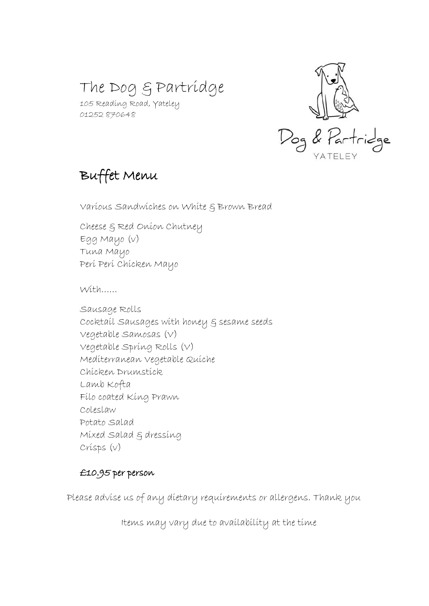# The Dog & Partridge

105 Reading Road, Yateley 01252 870648



## Buffet Menu

Various Sandwiches on White & Brown Bread

Cheese & Red Onion Chutney Egg Mayo (v) Tuna Mayo Peri Peri Chicken Mayo

 $Mit$ 

Sausage Rolls Cocktail Sausages with honey & sesame seeds Vegetable Samosas (V) Vegetable Spring Rolls (V) Mediterranean Vegetable Quiche Chicken Drumstick Lamb Kofta Filo coated King Prawn Coleslaw Potato Salad Mixed Salad & dressing Crisps (v)

### £10.95 per person

Please advise us of any dietary requirements or allergens. Thank you

Items may vary due to availability at the time